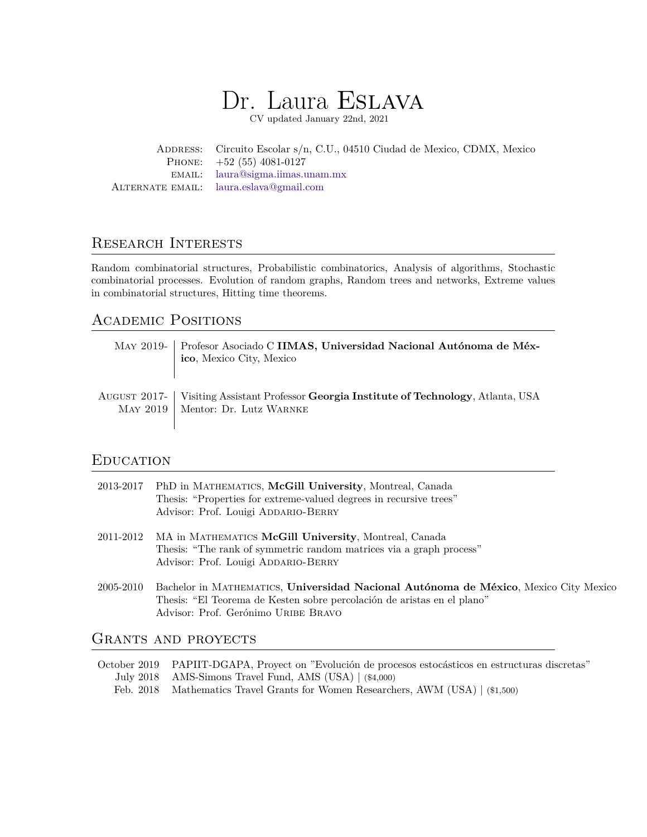# Dr. Laura ESLAVA

CV updated January 22nd, 2021

Address: Circuito Escolar s/n, C.U., 04510 Ciudad de Mexico, CDMX, Mexico Phone: +52 (55) 4081-0127 email: [laura@sigma.iimas.unam.mx](mailto:laura@sigma.iimas.unam.mx) Alternate email: [laura.eslava@gmail.com](mailto:laura.eslava@gmail.com)

# Research Interests

Random combinatorial structures, Probabilistic combinatorics, Analysis of algorithms, Stochastic combinatorial processes. Evolution of random graphs, Random trees and networks, Extreme values in combinatorial structures, Hitting time theorems.

# Academic Positions

| MAY 2019- Profesor Asociado C IIMAS, Universidad Nacional Autónoma de Méx-<br>ico, Mexico City, Mexico                        |
|-------------------------------------------------------------------------------------------------------------------------------|
| AUGUST 2017- Visiting Assistant Professor Georgia Institute of Technology, Atlanta, USA<br>MAY 2019   Mentor: Dr. Lutz WARNKE |

## **EDUCATION**

|           | 2013-2017 PhD in MATHEMATICS, McGill University, Montreal, Canada<br>Thesis: "Properties for extreme-valued degrees in recursive trees" |
|-----------|-----------------------------------------------------------------------------------------------------------------------------------------|
|           | Advisor: Prof. Louigi ADDARIO-BERRY                                                                                                     |
| 2011-2012 | MA in MATHEMATICS McGill University, Montreal, Canada                                                                                   |
|           | Thesis: "The rank of symmetric random matrices via a graph process"                                                                     |
|           | Advisor: Prof. Louigi ADDARIO-BERRY                                                                                                     |
| 2005-2010 | Bachelor in MATHEMATICS, Universidad Nacional Autónoma de México, Mexico City Mexico                                                    |
|           | Thesis: "El Teorema de Kesten sobre percolación de aristas en el plano"                                                                 |
|           | Advisor: Prof. Gerónimo URIBE BRAVO                                                                                                     |

# GRANTS AND PROYECTS

October 2019 PAPIIT-DGAPA, Proyect on "Evolución de procesos estocásticos en estructuras discretas" July 2018 AMS-Simons Travel Fund, AMS (USA) | (\$4,000) Feb. 2018 Mathematics Travel Grants for Women Researchers, AWM (USA) | (\$1,500)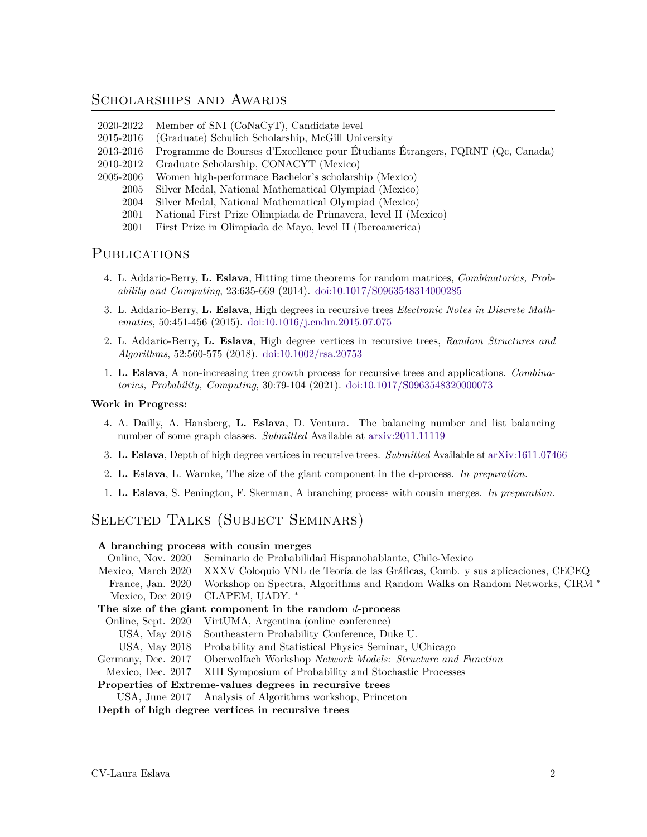### SCHOLARSHIPS AND AWARDS

- 2020-2022 Member of SNI (CoNaCyT), Candidate level
- 2015-2016 (Graduate) Schulich Scholarship, McGill University
- 2013-2016 Programme de Bourses d'Excellence pour Étudiants Étrangers, FQRNT (Qc, Canada)
- 2010-2012 Graduate Scholarship, CONACYT (Mexico)
- 2005-2006 Women high-performace Bachelor's scholarship (Mexico)
	- 2005 Silver Medal, National Mathematical Olympiad (Mexico)
	- 2004 Silver Medal, National Mathematical Olympiad (Mexico)
	- 2001 National First Prize Olimpiada de Primavera, level II (Mexico)
	- 2001 First Prize in Olimpiada de Mayo, level II (Iberoamerica)

### PUBLICATIONS

- 4. L. Addario-Berry, **L. Eslava**, Hitting time theorems for random matrices, *Combinatorics, Probability and Computing*, 23:635-669 (2014). [doi:10.1017/S0963548314000285](http://dx.doi.org/10.1017/S0963548314000285)
- 3. L. Addario-Berry, **L. Eslava**, High degrees in recursive trees *Electronic Notes in Discrete Mathematics*, 50:451-456 (2015). [doi:10.1016/j.endm.2015.07.075](https://doi.org/10.1016/j.endm.2015.07.075)
- 2. L. Addario-Berry, **L. Eslava**, High degree vertices in recursive trees, *Random Structures and Algorithms*, 52:560-575 (2018). [doi:10.1002/rsa.20753](http://onlinelibrary.wiley.com/doi/10.1002/rsa.20753/abstract)
- 1. **L. Eslava**, A non-increasing tree growth process for recursive trees and applications. *Combinatorics, Probability, Computing*, 30:79-104 (2021). [doi:10.1017/S0963548320000073](https://doi.org/10.1017/S0963548320000073)

### **Work in Progress:**

- 4. A. Dailly, A. Hansberg, **L. Eslava**, D. Ventura. The balancing number and list balancing number of some graph classes. *Submitted* Available at [arxiv:2011.11119](https://arxiv.org/abs/2011.11119)
- 3. **L. Eslava**, Depth of high degree vertices in recursive trees. *Submitted* Available at [arXiv:1611.07466](https://arxiv.org/abs/1611.07466)
- 2. **L. Eslava**, L. Warnke, The size of the giant component in the d-process. *In preparation.*
- 1. **L. Eslava**, S. Penington, F. Skerman, A branching process with cousin merges. *In preparation.*

# Selected Talks (Subject Seminars)

### **A branching process with cousin merges**

Online, Nov. 2020 Seminario de Probabilidad Hispanohablante, Chile-Mexico Mexico, March 2020 XXXV Coloquio VNL de Teoría de las Gráficas, Comb. y sus aplicaciones, CECEQ France, Jan. 2020 Workshop on Spectra, Algorithms and Random Walks on Random Networks, CIRM *<sup>∗</sup>* Mexico, Dec 2019 CLAPEM, UADY. *<sup>∗</sup>* **The size of the giant component in the random** *d***-process** Online, Sept. 2020 VirtUMA, Argentina (online conference) USA, May 2018 Southeastern Probability Conference, Duke U. USA, May 2018 Probability and Statistical Physics Seminar, UChicago Germany, Dec. 2017 Oberwolfach Workshop *Network Models: Structure and Function* Mexico, Dec. 2017 XIII Symposium of Probability and Stochastic Processes **Properties of Extreme-values degrees in recursive trees** USA, June 2017 Analysis of Algorithms workshop, Princeton **Depth of high degree vertices in recursive trees**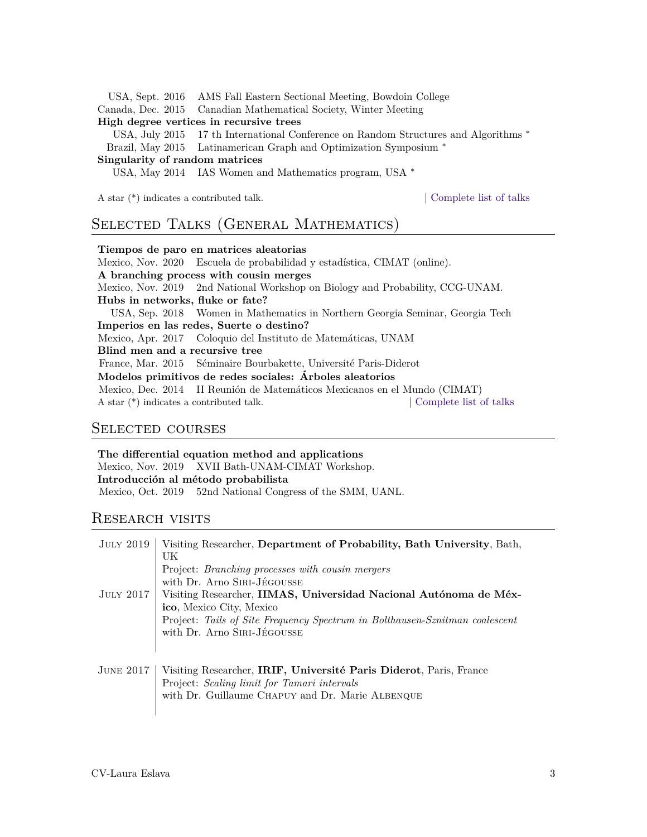USA, Sept. 2016 AMS Fall Eastern Sectional Meeting, Bowdoin College

Canada, Dec. 2015 Canadian Mathematical Society, Winter Meeting

### **High degree vertices in recursive trees**

USA, July 2015 17 th International Conference on Random Structures and Algorithms *∗* Brazil, May 2015 Latinamerican Graph and Optimization Symposium *∗*

#### **Singularity of random matrices**

USA, May 2014 IAS Women and Mathematics program, USA *∗*

A star (\*) indicates a contributed talk. | [Complete list of talks](#page-5-0)

### Selected Talks (General Mathematics)

**Tiempos de paro en matrices aleatorias** Mexico, Nov. 2020 Escuela de probabilidad y estadística, CIMAT (online). **A branching process with cousin merges** Mexico, Nov. 2019 2nd National Workshop on Biology and Probability, CCG-UNAM. **Hubs in networks, fluke or fate?** USA, Sep. 2018 Women in Mathematics in Northern Georgia Seminar, Georgia Tech **Imperios en las redes, Suerte o destino?** Mexico, Apr. 2017 Coloquio del Instituto de Matemáticas, UNAM **Blind men and a recursive tree** France, Mar. 2015 Séminaire Bourbakette, Université Paris-Diderot **Modelos primitivos de redes sociales: Árboles aleatorios** Mexico, Dec. 2014 II Reunión de Matemáticos Mexicanos en el Mundo (CIMAT) A star (\*) indicates a contributed talk. | [Complete list of talks](#page-5-0)

### Selected courses

**The differential equation method and applications** Mexico, Nov. 2019 XVII Bath-UNAM-CIMAT Workshop. **Introducción al método probabilista** Mexico, Oct. 2019 52nd National Congress of the SMM, UANL.

### Research visits

| <b>JULY 2019</b> | Visiting Researcher, Department of Probability, Bath University, Bath,<br>UK<br>Project: <i>Branching processes with cousin mergers</i><br>with Dr. Arno SIRI-JÉGOUSSE                                      |
|------------------|-------------------------------------------------------------------------------------------------------------------------------------------------------------------------------------------------------------|
| JULY 2017        | Visiting Researcher, IIMAS, Universidad Nacional Autónoma de Méx-<br>ico, Mexico City, Mexico<br>Project: Tails of Site Frequency Spectrum in Bolthausen-Sznitman coalescent<br>with Dr. Arno SIRI-JÉGOUSSE |
| JUNE $2017$      | Visiting Researcher, IRIF, Université Paris Diderot, Paris, France<br>Project: Scaling limit for Tamari intervals<br>with Dr. Guillaume CHAPUY and Dr. Marie ALBENQUE                                       |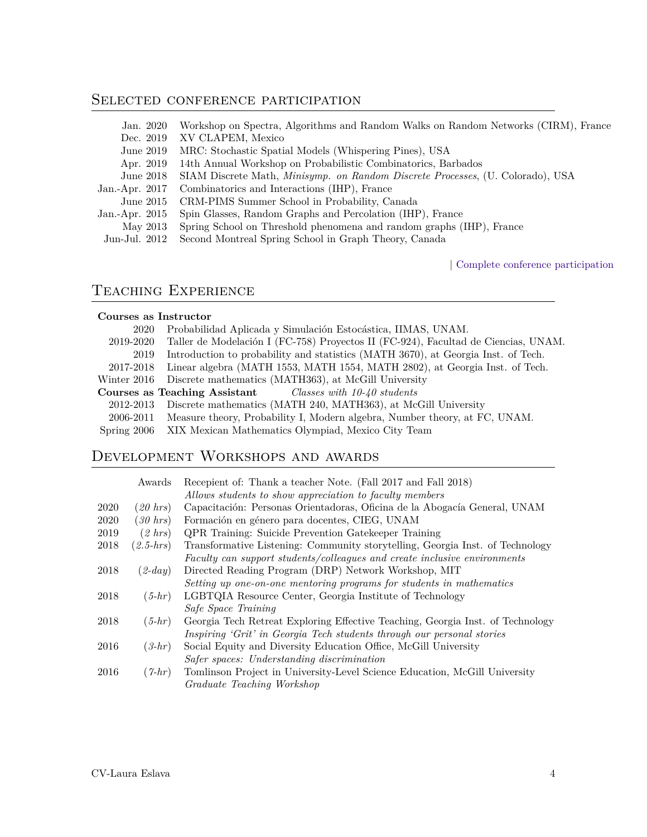# SELECTED CONFERENCE PARTICIPATION

| Jan. 2020        | Workshop on Spectra, Algorithms and Random Walks on Random Networks (CIRM), France     |
|------------------|----------------------------------------------------------------------------------------|
| Dec. 2019        | XV CLAPEM, Mexico                                                                      |
| June 2019        | MRC: Stochastic Spatial Models (Whispering Pines), USA                                 |
| Apr. 2019        | 14th Annual Workshop on Probabilistic Combinatorics, Barbados                          |
| June $2018$      | SIAM Discrete Math, <i>Minisymp. on Random Discrete Processes</i> , (U. Colorado), USA |
| Jan.-Apr. $2017$ | Combinatorics and Interactions (IHP), France                                           |
| June $2015$      | CRM-PIMS Summer School in Probability, Canada                                          |
| Jan.-Apr. 2015   | Spin Glasses, Random Graphs and Percolation (IHP), France                              |
| May 2013         | Spring School on Threshold phenomena and random graphs (IHP), France                   |
| Jun-Jul. 2012    | Second Montreal Spring School in Graph Theory, Canada                                  |

| [Complete conference participation](#page-6-0)

# Teaching Experience

### **Courses as Instructor**

| 2020      | Probabilidad Aplicada y Simulación Estocástica, IIMAS, UNAM.                         |
|-----------|--------------------------------------------------------------------------------------|
| 2019-2020 | Taller de Modelación I (FC-758) Proyectos II (FC-924), Facultad de Ciencias, UNAM.   |
| 2019      | Introduction to probability and statistics (MATH 3670), at Georgia Inst. of Tech.    |
| 2017-2018 | Linear algebra (MATH 1553, MATH 1554, MATH 2802), at Georgia Inst. of Tech.          |
|           | Winter 2016 Discrete mathematics (MATH363), at McGill University                     |
|           | <b>Courses as Teaching Assistant</b> Classes with $10-40$ students                   |
| 2012-2013 | Discrete mathematics (MATH 240, MATH363), at McGill University                       |
|           | 2006-2011 Measure theory, Probability I, Modern algebra, Number theory, at FC, UNAM. |
|           | Spring 2006 XIX Mexican Mathematics Olympiad, Mexico City Team                       |

# Development Workshops and awards

|      | Awards       | Recepient of: Thank a teacher Note. (Fall 2017 and Fall 2018)                  |
|------|--------------|--------------------------------------------------------------------------------|
|      |              | Allows students to show appreciation to faculty members                        |
| 2020 | $(20 \ hrs)$ | Capacitación: Personas Orientadoras, Oficina de la Abogacía General, UNAM      |
| 2020 | $(30 \ hrs)$ | Formación en género para docentes, CIEG, UNAM                                  |
| 2019 | $(2 \ hrs)$  | <b>QPR</b> Training: Suicide Prevention Gatekeeper Training                    |
| 2018 | $(2.5-hrs)$  | Transformative Listening: Community storytelling, Georgia Inst. of Technology  |
|      |              | Faculty can support students/colleagues and create inclusive environments      |
| 2018 | $(2-day)$    | Directed Reading Program (DRP) Network Workshop, MIT                           |
|      |              | Setting up one-on-one mentoring programs for students in mathematics           |
| 2018 | $(5-hr)$     | LGBTQIA Resource Center, Georgia Institute of Technology                       |
|      |              | Safe Space Training                                                            |
| 2018 | $(5-hr)$     | Georgia Tech Retreat Exploring Effective Teaching, Georgia Inst. of Technology |
|      |              | Inspiring 'Grit' in Georgia Tech students through our personal stories         |
| 2016 | $(3-hr)$     | Social Equity and Diversity Education Office, McGill University                |
|      |              | Safer spaces: Understanding discrimination                                     |
| 2016 | $(7-hr)$     | Tomlinson Project in University-Level Science Education, McGill University     |
|      |              | Graduate Teaching Workshop                                                     |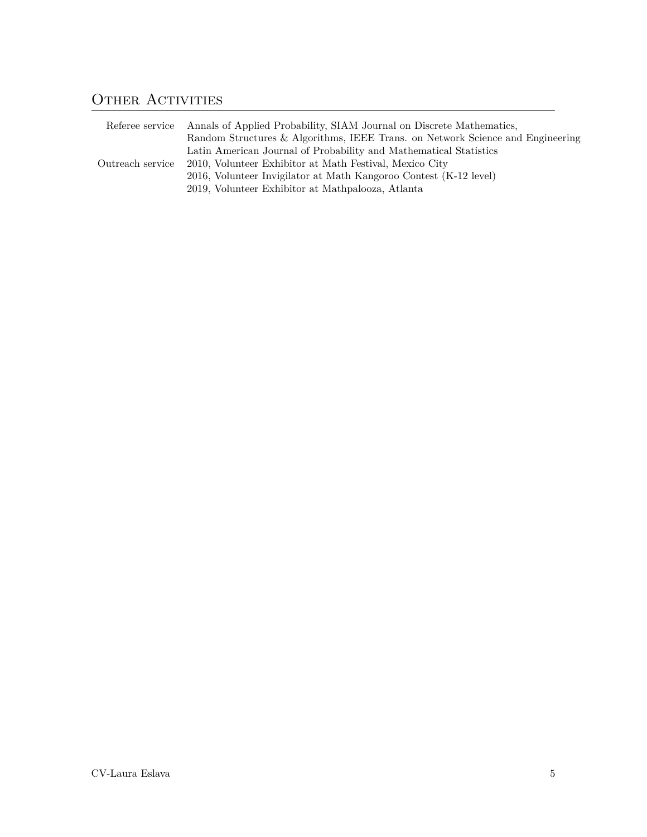# OTHER ACTIVITIES

| Referee service  | Annals of Applied Probability, SIAM Journal on Discrete Mathematics,<br>Random Structures & Algorithms, IEEE Trans. on Network Science and Engineering |
|------------------|--------------------------------------------------------------------------------------------------------------------------------------------------------|
| Outreach service | Latin American Journal of Probability and Mathematical Statistics<br>2010, Volunteer Exhibitor at Math Festival, Mexico City                           |
|                  | 2016, Volunteer Invigilator at Math Kangoroo Contest (K-12 level)<br>2019, Volunteer Exhibitor at Mathpalooza, Atlanta                                 |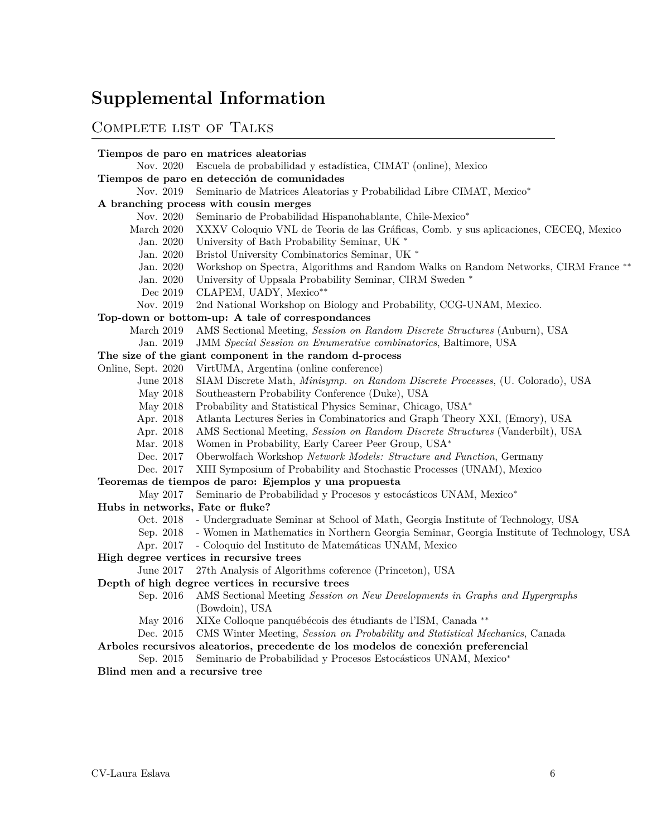# **Supplemental Information**

## <span id="page-5-0"></span>Complete list of Talks

### **Tiempos de paro en matrices aleatorias**

Nov. 2020 Escuela de probabilidad y estadística, CIMAT (online), Mexico

### **Tiempos de paro en detección de comunidades**

Nov. 2019 Seminario de Matrices Aleatorias y Probabilidad Libre CIMAT, Mexico*∗*

### **A branching process with cousin merges**

- Nov. 2020 Seminario de Probabilidad Hispanohablante, Chile-Mexico*∗*
- March 2020 XXXV Coloquio VNL de Teoria de las Gráficas, Comb. y sus aplicaciones, CECEQ, Mexico
	- Jan. 2020 University of Bath Probability Seminar, UK *∗*
	- Jan. 2020 Bristol University Combinatorics Seminar, UK *∗*
- Jan. 2020 Workshop on Spectra, Algorithms and Random Walks on Random Networks, CIRM France *∗∗*
- Jan. 2020 University of Uppsala Probability Seminar, CIRM Sweden *∗*
- Dec 2019 CLAPEM, UADY, Mexico*∗∗*
- Nov. 2019 2nd National Workshop on Biology and Probability, CCG-UNAM, Mexico.

### **Top-down or bottom-up: A tale of correspondances**

- March 2019 AMS Sectional Meeting, *Session on Random Discrete Structures* (Auburn), USA
	- Jan. 2019 JMM *Special Session on Enumerative combinatorics*, Baltimore, USA

### **The size of the giant component in the random d-process**

- Online, Sept. 2020 VirtUMA, Argentina (online conference)
	- June 2018 SIAM Discrete Math, *Minisymp. on Random Discrete Processes*, (U. Colorado), USA
	- May 2018 Southeastern Probability Conference (Duke), USA
	- May 2018 Probability and Statistical Physics Seminar, Chicago, USA*<sup>∗</sup>*
	- Apr. 2018 Atlanta Lectures Series in Combinatorics and Graph Theory XXI, (Emory), USA
	- Apr. 2018 AMS Sectional Meeting, *Session on Random Discrete Structures* (Vanderbilt), USA
	- Mar. 2018 Women in Probability, Early Career Peer Group, USA*<sup>∗</sup>*
	- Dec. 2017 Oberwolfach Workshop *Network Models: Structure and Function*, Germany
	- Dec. 2017 XIII Symposium of Probability and Stochastic Processes (UNAM), Mexico

#### **Teoremas de tiempos de paro: Ejemplos y una propuesta**

- May 2017 Seminario de Probabilidad y Procesos y estocásticos UNAM, Mexico*<sup>∗</sup>*
- **Hubs in networks, Fate or fluke?**
	- Oct. 2018 Undergraduate Seminar at School of Math, Georgia Institute of Technology, USA
	- Sep. 2018 Women in Mathematics in Northern Georgia Seminar, Georgia Institute of Technology, USA
	- Apr. 2017 Coloquio del Instituto de Matemáticas UNAM, Mexico
- **High degree vertices in recursive trees**
	- June 2017 27th Analysis of Algorithms coference (Princeton), USA

### **Depth of high degree vertices in recursive trees**

- Sep. 2016 AMS Sectional Meeting *Session on New Developments in Graphs and Hypergraphs* (Bowdoin), USA
- May 2016 XIXe Colloque panquébécois des étudiants de l'ISM, Canada *∗∗*
- Dec. 2015 CMS Winter Meeting, *Session on Probability and Statistical Mechanics*, Canada

### **Arboles recursivos aleatorios, precedente de los modelos de conexión preferencial**

Sep. 2015 Seminario de Probabilidad y Procesos Estocásticos UNAM, Mexico*<sup>∗</sup>*

**Blind men and a recursive tree**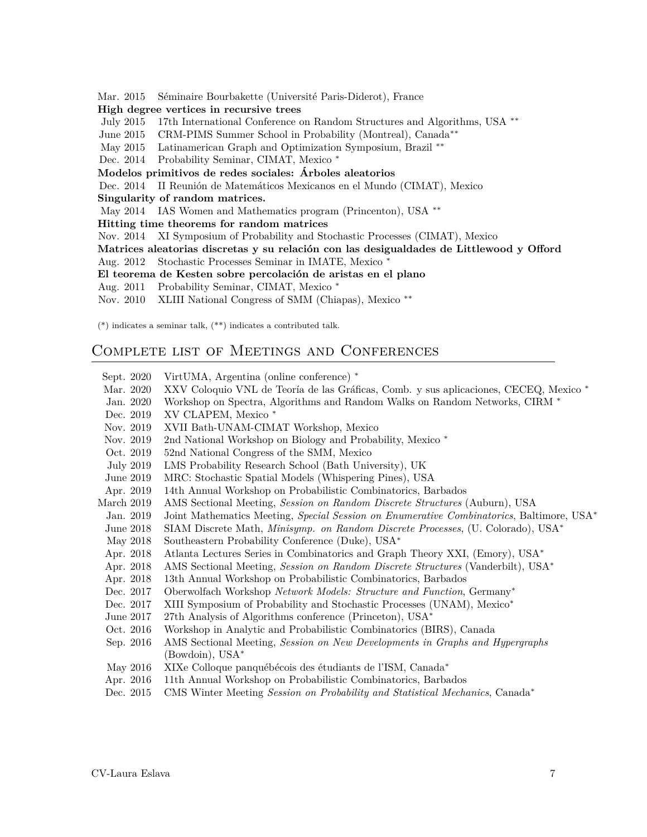Mar. 2015 Séminaire Bourbakette (Université Paris-Diderot), France

#### **High degree vertices in recursive trees**

July 2015 17th International Conference on Random Structures and Algorithms, USA *∗∗*

June 2015 CRM-PIMS Summer School in Probability (Montreal), Canada*∗∗*

May 2015 Latinamerican Graph and Optimization Symposium, Brazil *∗∗*

Dec. 2014 Probability Seminar, CIMAT, Mexico *∗*

### **Modelos primitivos de redes sociales: Árboles aleatorios**

Dec. 2014 II Reunión de Matemáticos Mexicanos en el Mundo (CIMAT), Mexico

**Singularity of random matrices.**

May 2014 IAS Women and Mathematics program (Princenton), USA *∗∗*

**Hitting time theorems for random matrices**

Nov. 2014 XI Symposium of Probability and Stochastic Processes (CIMAT), Mexico

**Matrices aleatorias discretas y su relación con las desigualdades de Littlewood y Offord** Aug. 2012 Stochastic Processes Seminar in IMATE, Mexico *∗*

**El teorema de Kesten sobre percolación de aristas en el plano**

Aug. 2011 Probability Seminar, CIMAT, Mexico *∗*

Nov. 2010 XLIII National Congress of SMM (Chiapas), Mexico *∗∗*

(\*) indicates a seminar talk,  $(**)$  indicates a contributed talk.

# <span id="page-6-0"></span>Complete list of Meetings and Conferences

| Sept. 2020       | VirtUMA, Argentina (online conference) *                                                           |
|------------------|----------------------------------------------------------------------------------------------------|
| Mar. 2020        | XXV Coloquio VNL de Teoría de las Gráficas, Comb. y sus aplicaciones, CECEQ, Mexico <sup>*</sup>   |
| Jan. 2020        | Workshop on Spectra, Algorithms and Random Walks on Random Networks, CIRM *                        |
| Dec. 2019        | XV CLAPEM, Mexico *                                                                                |
| Nov. 2019        | XVII Bath-UNAM-CIMAT Workshop, Mexico                                                              |
| Nov. 2019        | 2nd National Workshop on Biology and Probability, Mexico <sup>*</sup>                              |
| Oct. 2019        | 52nd National Congress of the SMM, Mexico                                                          |
| <b>July 2019</b> | LMS Probability Research School (Bath University), UK                                              |
| June 2019        | MRC: Stochastic Spatial Models (Whispering Pines), USA                                             |
| Apr. 2019        | 14th Annual Workshop on Probabilistic Combinatorics, Barbados                                      |
| March 2019       | AMS Sectional Meeting, Session on Random Discrete Structures (Auburn), USA                         |
| Jan. 2019        | Joint Mathematics Meeting, Special Session on Enumerative Combinatorics, Baltimore, USA*           |
| June 2018        | SIAM Discrete Math, <i>Minisymp.</i> on Random Discrete Processes, (U. Colorado), USA <sup>*</sup> |
| May 2018         | Southeastern Probability Conference (Duke), USA*                                                   |
| Apr. 2018        | Atlanta Lectures Series in Combinatorics and Graph Theory XXI, (Emory), USA*                       |
| Apr. 2018        | AMS Sectional Meeting, Session on Random Discrete Structures (Vanderbilt), USA*                    |
| Apr. 2018        | 13th Annual Workshop on Probabilistic Combinatorics, Barbados                                      |
| Dec. 2017        | Oberwolfach Workshop Network Models: Structure and Function, Germany*                              |
| Dec. 2017        | XIII Symposium of Probability and Stochastic Processes (UNAM), Mexico*                             |
| June $2017$      | 27th Analysis of Algorithms conference (Princeton), USA*                                           |
| Oct. 2016        | Workshop in Analytic and Probabilistic Combinatorics (BIRS), Canada                                |
| Sep. 2016        | AMS Sectional Meeting, Session on New Developments in Graphs and Hypergraphs                       |
|                  | (Bowdoin), USA*                                                                                    |
| May 2016         | XIXe Colloque panquébécois des étudiants de l'ISM, Canada*                                         |
| Apr. 2016        | 11th Annual Workshop on Probabilistic Combinatorics, Barbados                                      |
| Dec. 2015        | CMS Winter Meeting Session on Probability and Statistical Mechanics, Canada*                       |